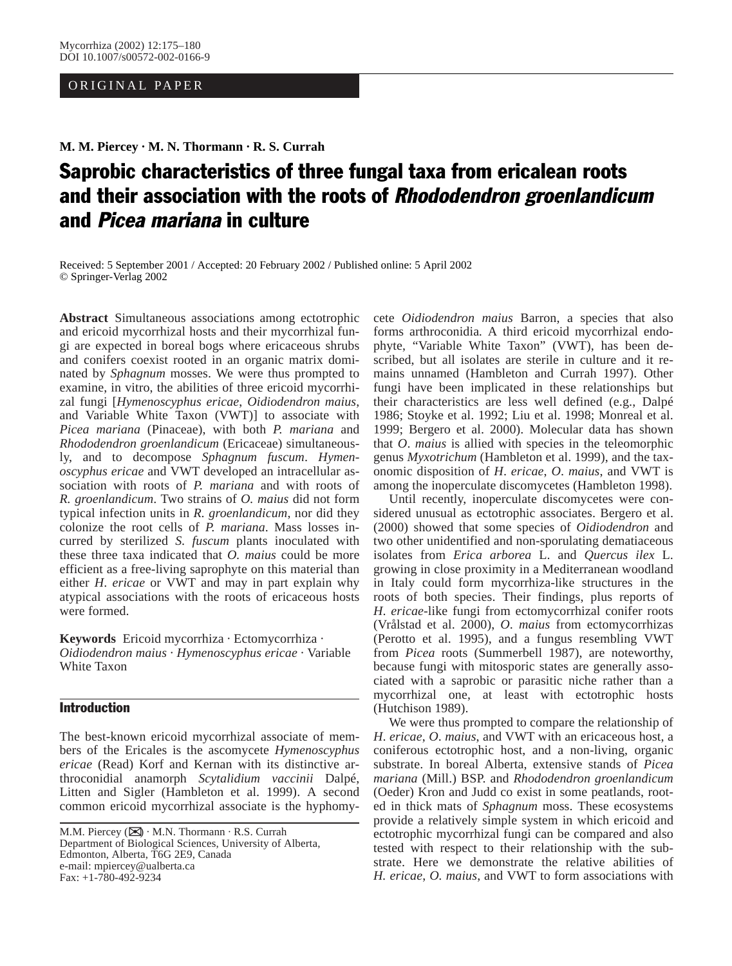## ORIGINAL PAPER

**M. M. Piercey · M. N. Thormann · R. S. Currah**

# Saprobic characteristics of three fungal taxa from ericalean roots and their association with the roots of Rhododendron groenlandicum and Picea mariana in culture

Received: 5 September 2001 / Accepted: 20 February 2002 / Published online: 5 April 2002 © Springer-Verlag 2002

**Abstract** Simultaneous associations among ectotrophic and ericoid mycorrhizal hosts and their mycorrhizal fungi are expected in boreal bogs where ericaceous shrubs and conifers coexist rooted in an organic matrix dominated by *Sphagnum* mosses. We were thus prompted to examine, in vitro, the abilities of three ericoid mycorrhizal fungi [*Hymenoscyphus ericae*, *Oidiodendron maius*, and Variable White Taxon (VWT)] to associate with *Picea mariana* (Pinaceae), with both *P. mariana* and *Rhododendron groenlandicum* (Ericaceae) simultaneously, and to decompose *Sphagnum fuscum*. *Hymenoscyphus ericae* and VWT developed an intracellular association with roots of *P. mariana* and with roots of *R. groenlandicum*. Two strains of *O. maius* did not form typical infection units in *R. groenlandicum*, nor did they colonize the root cells of *P. mariana*. Mass losses incurred by sterilized *S. fuscum* plants inoculated with these three taxa indicated that *O. maius* could be more efficient as a free-living saprophyte on this material than either *H*. *ericae* or VWT and may in part explain why atypical associations with the roots of ericaceous hosts were formed.

**Keywords** Ericoid mycorrhiza · Ectomycorrhiza · *Oidiodendron maius* · *Hymenoscyphus ericae* · Variable White Taxon

# Introduction

The best-known ericoid mycorrhizal associate of members of the Ericales is the ascomycete *Hymenoscyphus ericae* (Read) Korf and Kernan with its distinctive arthroconidial anamorph *Scytalidium vaccinii* Dalpé, Litten and Sigler (Hambleton et al. 1999). A second common ericoid mycorrhizal associate is the hyphomy-

cete *Oidiodendron maius* Barron, a species that also forms arthroconidia*.* A third ericoid mycorrhizal endophyte, "Variable White Taxon" (VWT), has been described, but all isolates are sterile in culture and it remains unnamed (Hambleton and Currah 1997). Other fungi have been implicated in these relationships but their characteristics are less well defined (e.g., Dalpé 1986; Stoyke et al. 1992; Liu et al. 1998; Monreal et al. 1999; Bergero et al. 2000). Molecular data has shown that *O*. *maius* is allied with species in the teleomorphic genus *Myxotrichum* (Hambleton et al. 1999), and the taxonomic disposition of *H*. *ericae*, *O*. *maius*, and VWT is among the inoperculate discomycetes (Hambleton 1998).

Until recently, inoperculate discomycetes were considered unusual as ectotrophic associates. Bergero et al. (2000) showed that some species of *Oidiodendron* and two other unidentified and non-sporulating dematiaceous isolates from *Erica arborea* L. and *Quercus ilex* L. growing in close proximity in a Mediterranean woodland in Italy could form mycorrhiza-like structures in the roots of both species. Their findings, plus reports of *H*. *ericae*-like fungi from ectomycorrhizal conifer roots (Vrålstad et al. 2000), *O*. *maius* from ectomycorrhizas (Perotto et al. 1995), and a fungus resembling VWT from *Picea* roots (Summerbell 1987), are noteworthy, because fungi with mitosporic states are generally associated with a saprobic or parasitic niche rather than a mycorrhizal one, at least with ectotrophic hosts (Hutchison 1989).

We were thus prompted to compare the relationship of *H*. *ericae*, *O*. *maius*, and VWT with an ericaceous host, a coniferous ectotrophic host, and a non-living, organic substrate. In boreal Alberta, extensive stands of *Picea mariana* (Mill.) BSP. and *Rhododendron groenlandicum* (Oeder) Kron and Judd co exist in some peatlands, rooted in thick mats of *Sphagnum* moss. These ecosystems provide a relatively simple system in which ericoid and ectotrophic mycorrhizal fungi can be compared and also tested with respect to their relationship with the substrate. Here we demonstrate the relative abilities of *H. ericae*, *O. maius*, and VWT to form associations with

M.M. Piercey ( $\boxtimes$ ) · M.N. Thormann · R.S. Currah Department of Biological Sciences, University of Alberta, Edmonton, Alberta, T6G 2E9, Canada e-mail: mpiercey@ualberta.ca Fax: +1-780-492-9234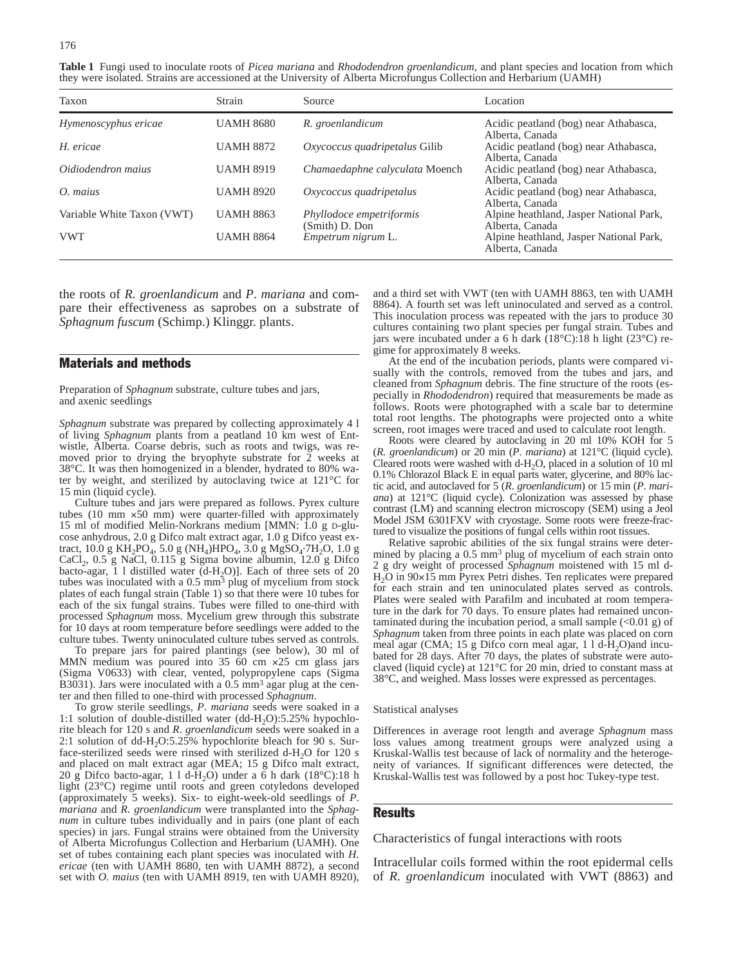**Table 1** Fungi used to inoculate roots of *Picea mariana* and *Rhododendron groenlandicum*, and plant species and location from which they were isolated. Strains are accessioned at the University of Alberta Microfungus Collection and Herbarium (UAMH)

| Taxon                      | Strain           | Source                                     | Location                                                   |
|----------------------------|------------------|--------------------------------------------|------------------------------------------------------------|
| Hymenoscyphus ericae       | <b>UAMH 8680</b> | R. groenlandicum                           | Acidic peatland (bog) near Athabasca,<br>Alberta, Canada   |
| H. ericae                  | <b>UAMH 8872</b> | Oxycoccus quadripetalus Gilib              | Acidic peatland (bog) near Athabasca,<br>Alberta, Canada   |
| Oidiodendron maius         | <b>UAMH 8919</b> | Chamaedaphne calvculata Moench             | Acidic peatland (bog) near Athabasca,<br>Alberta, Canada   |
| O. maius                   | <b>UAMH 8920</b> | Oxycoccus quadripetalus                    | Acidic peatland (bog) near Athabasca,<br>Alberta, Canada   |
| Variable White Taxon (VWT) | <b>UAMH 8863</b> | Phyllodoce empetriformis<br>(Smith) D. Don | Alpine heathland, Jasper National Park,<br>Alberta, Canada |
| <b>VWT</b>                 | <b>UAMH 8864</b> | Empetrum nigrum L.                         | Alpine heathland, Jasper National Park,<br>Alberta, Canada |

the roots of *R. groenlandicum* and *P*. *mariana* and compare their effectiveness as saprobes on a substrate of *Sphagnum fuscum* (Schimp.) Klinggr. plants.

#### Materials and methods

Preparation of *Sphagnum* substrate, culture tubes and jars, and axenic seedlings

*Sphagnum* substrate was prepared by collecting approximately 4 l of living *Sphagnum* plants from a peatland 10 km west of Entwistle, Alberta. Coarse debris, such as roots and twigs, was removed prior to drying the bryophyte substrate for 2 weeks at 38°C. It was then homogenized in a blender, hydrated to 80% water by weight, and sterilized by autoclaving twice at 121°C for 15 min (liquid cycle).

Culture tubes and jars were prepared as follows. Pyrex culture tubes (10 mm ×50 mm) were quarter-filled with approximately 15 ml of modified Melin-Norkrans medium [MMN: 1.0 g D-glucose anhydrous, 2.0 g Difco malt extract agar, 1.0 g Difco yeast extract, 10.0 g KH<sub>2</sub>PO<sub>4</sub>, 5.0 g (NH<sub>4</sub>)HPO<sub>4</sub>, 3.0 g MgSO<sub>4</sub>·7H<sub>2</sub>O, 1.0 g CaCl<sub>2</sub>, 0.5 g NaCl, 0.115 g Sigma bovine albumin, 12.0 g Difco bacto-agar, 1 l distilled water  $(d-H<sub>2</sub>O)$ ]. Each of three sets of 20 tubes was inoculated with a 0.5 mm<sup>3</sup> plug of mycelium from stock plates of each fungal strain (Table 1) so that there were 10 tubes for each of the six fungal strains. Tubes were filled to one-third with processed *Sphagnum* moss. Mycelium grew through this substrate for 10 days at room temperature before seedlings were added to the culture tubes. Twenty uninoculated culture tubes served as controls.

To prepare jars for paired plantings (see below), 30 ml of MMN medium was poured into 35 60 cm ×25 cm glass jars (Sigma V0633) with clear, vented, polypropylene caps (Sigma B3031). Jars were inoculated with a 0.5 mm<sup>3</sup> agar plug at the center and then filled to one-third with processed *Sphagnum*.

To grow sterile seedlings, *P*. *mariana* seeds were soaked in a 1:1 solution of double-distilled water (dd-H<sub>2</sub>O):5.25% hypochlorite bleach for 120 s and *R*. *groenlandicum* seeds were soaked in a 2:1 solution of dd-H<sub>2</sub>O:5.25% hypochlorite bleach for 90 s. Surface-sterilized seeds were rinsed with sterilized  $d-H<sub>2</sub>O$  for 120 s and placed on malt extract agar (MEA; 15 g Difco malt extract, 20 g Difco bacto-agar, 1 l d-H<sub>2</sub>O) under a  $\bar{6}$  h dark (18°C):18 h light (23°C) regime until roots and green cotyledons developed (approximately 5 weeks). Six- to eight-week-old seedlings of *P*. *mariana* and *R*. *groenlandicum* were transplanted into the *Sphagnum* in culture tubes individually and in pairs (one plant of each species) in jars. Fungal strains were obtained from the University of Alberta Microfungus Collection and Herbarium (UAMH). One set of tubes containing each plant species was inoculated with *H. ericae* (ten with UAMH 8680, ten with UAMH 8872), a second set with *O. maius* (ten with UAMH 8919, ten with UAMH 8920),

and a third set with VWT (ten with UAMH 8863, ten with UAMH 8864). A fourth set was left uninoculated and served as a control. This inoculation process was repeated with the jars to produce 30 cultures containing two plant species per fungal strain. Tubes and jars were incubated under a 6 h dark (18°C):18 h light (23°C) regime for approximately 8 weeks.

At the end of the incubation periods, plants were compared visually with the controls, removed from the tubes and jars, and cleaned from *Sphagnum* debris. The fine structure of the roots (especially in *Rhododendron*) required that measurements be made as follows. Roots were photographed with a scale bar to determine total root lengths. The photographs were projected onto a white screen, root images were traced and used to calculate root length.

Roots were cleared by autoclaving in 20 ml 10% KOH for 5 (*R. groenlandicum*) or 20 min (*P*. *mariana*) at 121°C (liquid cycle). Cleared roots were washed with  $d-H_2O$ , placed in a solution of 10 ml 0.1% Chlorazol Black E in equal parts water, glycerine, and 80% lactic acid, and autoclaved for 5 (*R*. *groenlandicum*) or 15 min (*P*. *mariana*) at 121°C (liquid cycle). Colonization was assessed by phase contrast (LM) and scanning electron microscopy (SEM) using a Jeol Model JSM 6301FXV with cryostage. Some roots were freeze-fractured to visualize the positions of fungal cells within root tissues.

Relative saprobic abilities of the six fungal strains were determined by placing a 0.5 mm3 plug of mycelium of each strain onto 2 g dry weight of processed *Sphagnum* moistened with 15 ml d-H2O in 90×15 mm Pyrex Petri dishes. Ten replicates were prepared for each strain and ten uninoculated plates served as controls. Plates were sealed with Parafilm and incubated at room temperature in the dark for 70 days. To ensure plates had remained uncontaminated during the incubation period, a small sample  $(\leq 0.01 \text{ g})$  of *Sphagnum* taken from three points in each plate was placed on corn meal agar (CMA; 15 g Difco corn meal agar,  $11d-H<sub>2</sub>O$ )and incubated for 28 days. After 70 days, the plates of substrate were autoclaved (liquid cycle) at 121°C for 20 min, dried to constant mass at 38°C, and weighed. Mass losses were expressed as percentages.

#### Statistical analyses

Differences in average root length and average *Sphagnum* mass loss values among treatment groups were analyzed using a Kruskal-Wallis test because of lack of normality and the heterogeneity of variances. If significant differences were detected, the Kruskal-Wallis test was followed by a post hoc Tukey-type test.

#### **Results**

Characteristics of fungal interactions with roots

Intracellular coils formed within the root epidermal cells of *R. groenlandicum* inoculated with VWT (8863) and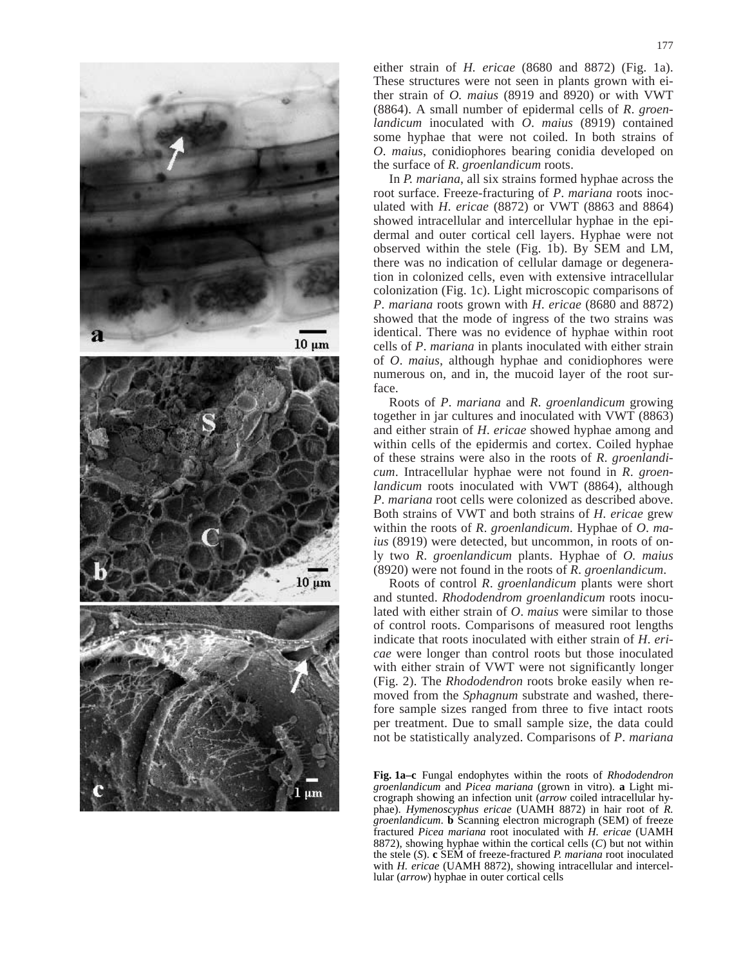

either strain of *H. ericae* (8680 and 8872) (Fig. 1a). These structures were not seen in plants grown with either strain of *O. maius* (8919 and 8920) or with VWT (8864). A small number of epidermal cells of *R*. *groenlandicum* inoculated with *O*. *maius* (8919) contained some hyphae that were not coiled. In both strains of *O*. *maius*, conidiophores bearing conidia developed on the surface of *R*. *groenlandicum* roots.

In *P. mariana*, all six strains formed hyphae across the root surface. Freeze-fracturing of *P*. *mariana* roots inoculated with *H*. *ericae* (8872) or VWT (8863 and 8864) showed intracellular and intercellular hyphae in the epidermal and outer cortical cell layers. Hyphae were not observed within the stele (Fig. 1b). By SEM and LM, there was no indication of cellular damage or degeneration in colonized cells, even with extensive intracellular colonization (Fig. 1c). Light microscopic comparisons of *P*. *mariana* roots grown with *H*. *ericae* (8680 and 8872) showed that the mode of ingress of the two strains was identical. There was no evidence of hyphae within root cells of *P*. *mariana* in plants inoculated with either strain of *O*. *maius*, although hyphae and conidiophores were numerous on, and in, the mucoid layer of the root surface.

Roots of *P*. *mariana* and *R*. *groenlandicum* growing together in jar cultures and inoculated with VWT (8863) and either strain of *H*. *ericae* showed hyphae among and within cells of the epidermis and cortex. Coiled hyphae of these strains were also in the roots of *R*. *groenlandicum*. Intracellular hyphae were not found in *R*. *groenlandicum* roots inoculated with VWT (8864), although *P*. *mariana* root cells were colonized as described above. Both strains of VWT and both strains of *H. ericae* grew within the roots of *R*. *groenlandicum*. Hyphae of *O*. *maius* (8919) were detected, but uncommon, in roots of only two *R*. *groenlandicum* plants. Hyphae of *O. maius* (8920) were not found in the roots of *R*. *groenlandicum*.

Roots of control *R*. *groenlandicum* plants were short and stunted. *Rhododendrom groenlandicum* roots inoculated with either strain of *O*. *maius* were similar to those of control roots. Comparisons of measured root lengths indicate that roots inoculated with either strain of *H*. *ericae* were longer than control roots but those inoculated with either strain of VWT were not significantly longer (Fig. 2). The *Rhododendron* roots broke easily when removed from the *Sphagnum* substrate and washed, therefore sample sizes ranged from three to five intact roots per treatment. Due to small sample size, the data could not be statistically analyzed. Comparisons of *P*. *mariana*

**Fig. 1a–c** Fungal endophytes within the roots of *Rhododendron groenlandicum* and *Picea mariana* (grown in vitro). **a** Light micrograph showing an infection unit (*arrow* coiled intracellular hyphae). *Hymenoscyphus ericae* (UAMH 8872) in hair root of *R. groenlandicum*. **b** Scanning electron micrograph (SEM) of freeze fractured *Picea mariana* root inoculated with *H. ericae* (UAMH 8872), showing hyphae within the cortical cells (*C*) but not within the stele (*S*). **c** SEM of freeze-fractured *P. mariana* root inoculated with *H. ericae* (UAMH 8872), showing intracellular and intercellular (*arrow*) hyphae in outer cortical cells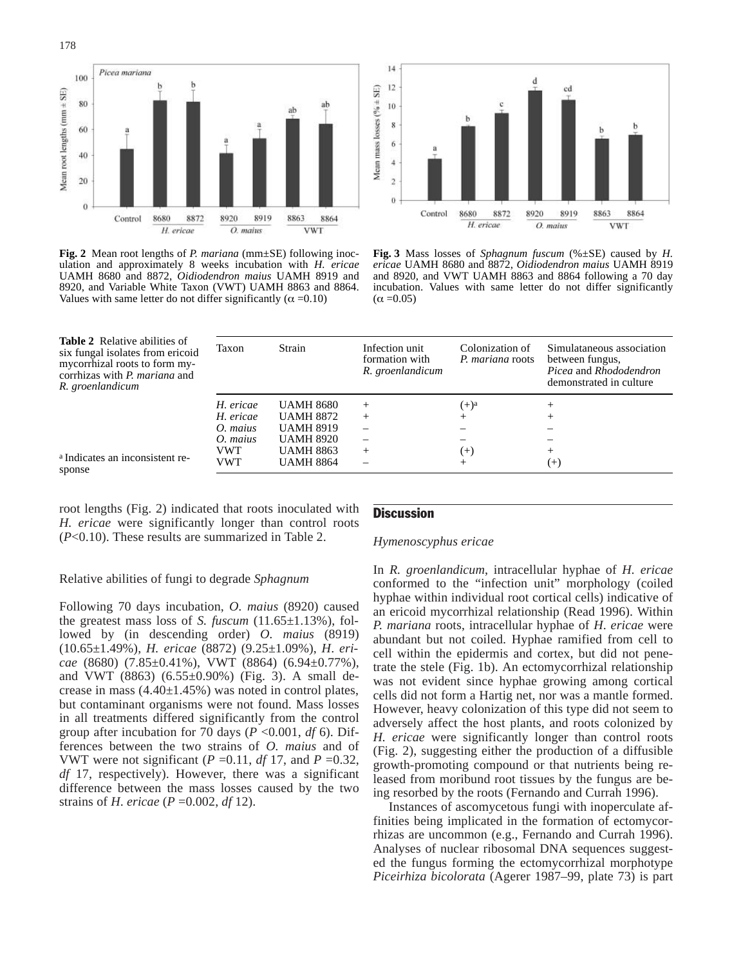

**Fig. 2** Mean root lengths of *P. mariana* (mm±SE) following inoculation and approximately 8 weeks incubation with *H. ericae* UAMH 8680 and 8872, *Oidiodendron maius* UAMH 8919 and 8920, and Variable White Taxon (VWT) UAMH 8863 and 8864. Values with same letter do not differ significantly ( $\alpha$  =0.10)



**Fig. 3** Mass losses of *Sphagnum fuscum* (%±SE) caused by *H. ericae* UAMH 8680 and 8872, *Oidiodendron maius* UAMH 8919 and 8920, and VWT UAMH 8863 and 8864 following a 70 day incubation. Values with same letter do not differ significantly  $(\alpha = 0.05)$ 

| Taxon      | Strain           | Infection unit<br>formation with<br>R. groenlandicum | Colonization of<br>P. mariana roots | Simulataneous association<br>between fungus,<br><i>Picea</i> and <i>Rhododendron</i><br>demonstrated in culture |
|------------|------------------|------------------------------------------------------|-------------------------------------|-----------------------------------------------------------------------------------------------------------------|
| H. ericae  | <b>UAMH 8680</b> | $^{+}$                                               | $(+)^a$                             | $\pm$                                                                                                           |
| H. ericae  | <b>UAMH 8872</b> | $^{+}$                                               |                                     |                                                                                                                 |
| $O.$ maius | <b>UAMH 8919</b> |                                                      |                                     |                                                                                                                 |
| $O.$ maius | <b>UAMH 8920</b> |                                                      |                                     |                                                                                                                 |
| VWT        | <b>UAMH 8863</b> | $^{+}$                                               | $^{(+)}$                            |                                                                                                                 |
| VWT        | <b>UAMH 8864</b> |                                                      |                                     | $(+)$                                                                                                           |

<sup>a</sup> Indicates an inconsistent response

**Table 2** Relative abilities of six fungal isolates from ericoid mycorrhizal roots to form mycorrhizas with *P. mariana* and

*R. groenlandicum*

root lengths (Fig. 2) indicated that roots inoculated with *H. ericae* were significantly longer than control roots (*P*<0.10). These results are summarized in Table 2.

#### Relative abilities of fungi to degrade *Sphagnum*

Following 70 days incubation, *O. maius* (8920) caused the greatest mass loss of *S. fuscum* (11.65±1.13%), followed by (in descending order) *O. maius* (8919) (10.65±1.49%), *H. ericae* (8872) (9.25±1.09%), *H*. *ericae* (8680) (7.85±0.41%), VWT (8864) (6.94±0.77%), and VWT (8863) (6.55±0.90%) (Fig. 3). A small decrease in mass  $(4.40 \pm 1.45\%)$  was noted in control plates, but contaminant organisms were not found. Mass losses in all treatments differed significantly from the control group after incubation for 70 days (*P* <0.001, *df* 6). Differences between the two strains of *O. maius* and of VWT were not significant ( $P = 0.11$ ,  $df = 17$ , and  $P = 0.32$ , *df* 17, respectively). However, there was a significant difference between the mass losses caused by the two strains of *H*. *ericae* (*P* =0.002, *df* 12).

#### **Discussion**

#### *Hymenoscyphus ericae*

In *R. groenlandicum*, intracellular hyphae of *H. ericae* conformed to the "infection unit" morphology (coiled hyphae within individual root cortical cells) indicative of an ericoid mycorrhizal relationship (Read 1996). Within *P. mariana* roots, intracellular hyphae of *H*. *ericae* were abundant but not coiled. Hyphae ramified from cell to cell within the epidermis and cortex, but did not penetrate the stele (Fig. 1b). An ectomycorrhizal relationship was not evident since hyphae growing among cortical cells did not form a Hartig net, nor was a mantle formed. However, heavy colonization of this type did not seem to adversely affect the host plants, and roots colonized by *H. ericae* were significantly longer than control roots (Fig. 2), suggesting either the production of a diffusible growth-promoting compound or that nutrients being released from moribund root tissues by the fungus are being resorbed by the roots (Fernando and Currah 1996).

Instances of ascomycetous fungi with inoperculate affinities being implicated in the formation of ectomycorrhizas are uncommon (e.g., Fernando and Currah 1996). Analyses of nuclear ribosomal DNA sequences suggested the fungus forming the ectomycorrhizal morphotype *Piceirhiza bicolorata* (Agerer 1987–99, plate 73) is part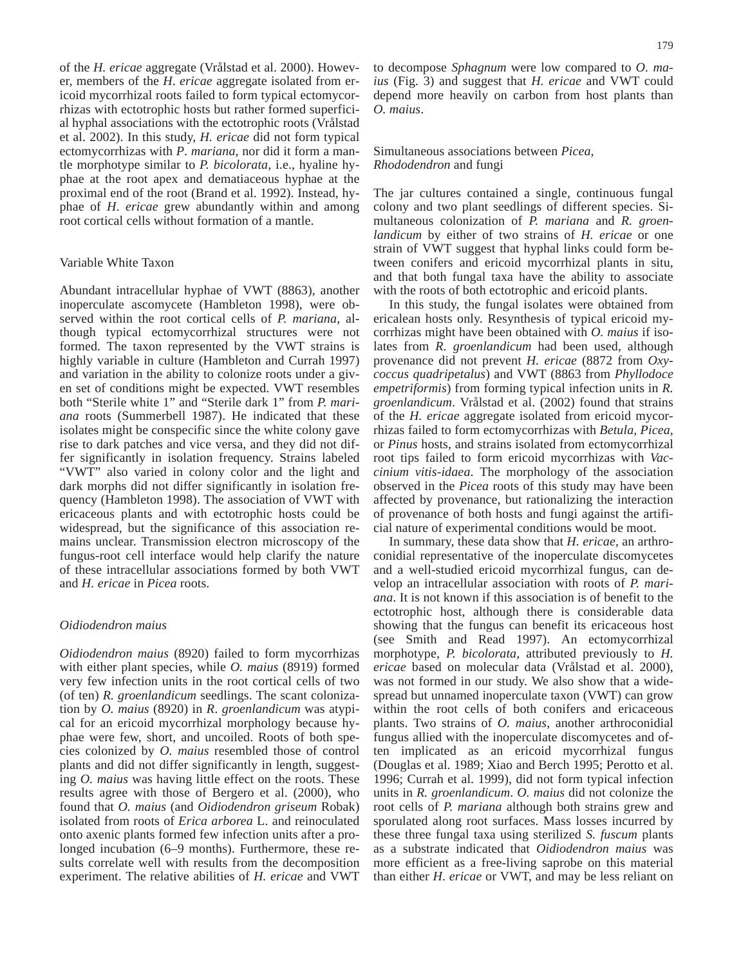of the *H. ericae* aggregate (Vrålstad et al. 2000). However, members of the *H*. *ericae* aggregate isolated from ericoid mycorrhizal roots failed to form typical ectomycorrhizas with ectotrophic hosts but rather formed superficial hyphal associations with the ectotrophic roots (Vrålstad et al. 2002). In this study, *H. ericae* did not form typical ectomycorrhizas with *P*. *mariana*, nor did it form a mantle morphotype similar to *P. bicolorata*, i.e., hyaline hyphae at the root apex and dematiaceous hyphae at the proximal end of the root (Brand et al. 1992). Instead, hyphae of *H*. *ericae* grew abundantly within and among root cortical cells without formation of a mantle.

### Variable White Taxon

Abundant intracellular hyphae of VWT (8863), another inoperculate ascomycete (Hambleton 1998), were observed within the root cortical cells of *P. mariana*, although typical ectomycorrhizal structures were not formed. The taxon represented by the VWT strains is highly variable in culture (Hambleton and Currah 1997) and variation in the ability to colonize roots under a given set of conditions might be expected. VWT resembles both "Sterile white 1" and "Sterile dark 1" from *P. mariana* roots (Summerbell 1987). He indicated that these isolates might be conspecific since the white colony gave rise to dark patches and vice versa, and they did not differ significantly in isolation frequency. Strains labeled "VWT" also varied in colony color and the light and dark morphs did not differ significantly in isolation frequency (Hambleton 1998). The association of VWT with ericaceous plants and with ectotrophic hosts could be widespread, but the significance of this association remains unclear. Transmission electron microscopy of the fungus-root cell interface would help clarify the nature of these intracellular associations formed by both VWT and *H. ericae* in *Picea* roots.

#### *Oidiodendron maius*

*Oidiodendron maius* (8920) failed to form mycorrhizas with either plant species, while *O. maius* (8919) formed very few infection units in the root cortical cells of two (of ten) *R. groenlandicum* seedlings. The scant colonization by *O. maius* (8920) in *R*. *groenlandicum* was atypical for an ericoid mycorrhizal morphology because hyphae were few, short, and uncoiled. Roots of both species colonized by *O. maius* resembled those of control plants and did not differ significantly in length, suggesting *O. maius* was having little effect on the roots. These results agree with those of Bergero et al. (2000), who found that *O. maius* (and *Oidiodendron griseum* Robak) isolated from roots of *Erica arborea* L. and reinoculated onto axenic plants formed few infection units after a prolonged incubation (6–9 months). Furthermore, these results correlate well with results from the decomposition experiment. The relative abilities of *H. ericae* and VWT

to decompose *Sphagnum* were low compared to *O. maius* (Fig. 3) and suggest that *H. ericae* and VWT could depend more heavily on carbon from host plants than *O. maius*.

#### Simultaneous associations between *Picea*, *Rhododendron* and fungi

The jar cultures contained a single, continuous fungal colony and two plant seedlings of different species. Simultaneous colonization of *P. mariana* and *R. groenlandicum* by either of two strains of *H. ericae* or one strain of VWT suggest that hyphal links could form between conifers and ericoid mycorrhizal plants in situ, and that both fungal taxa have the ability to associate with the roots of both ectotrophic and ericoid plants.

In this study, the fungal isolates were obtained from ericalean hosts only. Resynthesis of typical ericoid mycorrhizas might have been obtained with *O. maius* if isolates from *R. groenlandicum* had been used, although provenance did not prevent *H. ericae* (8872 from *Oxycoccus quadripetalus*) and VWT (8863 from *Phyllodoce empetriformis*) from forming typical infection units in *R. groenlandicum*. Vrålstad et al. (2002) found that strains of the *H. ericae* aggregate isolated from ericoid mycorrhizas failed to form ectomycorrhizas with *Betula*, *Picea*, or *Pinus* hosts, and strains isolated from ectomycorrhizal root tips failed to form ericoid mycorrhizas with *Vaccinium vitis-idaea*. The morphology of the association observed in the *Picea* roots of this study may have been affected by provenance, but rationalizing the interaction of provenance of both hosts and fungi against the artificial nature of experimental conditions would be moot.

In summary, these data show that *H. ericae*, an arthroconidial representative of the inoperculate discomycetes and a well-studied ericoid mycorrhizal fungus, can develop an intracellular association with roots of *P. mariana*. It is not known if this association is of benefit to the ectotrophic host, although there is considerable data showing that the fungus can benefit its ericaceous host (see Smith and Read 1997). An ectomycorrhizal morphotype, *P. bicolorata*, attributed previously to *H. ericae* based on molecular data (Vrålstad et al. 2000), was not formed in our study. We also show that a widespread but unnamed inoperculate taxon (VWT) can grow within the root cells of both conifers and ericaceous plants. Two strains of *O. maius*, another arthroconidial fungus allied with the inoperculate discomycetes and often implicated as an ericoid mycorrhizal fungus (Douglas et al. 1989; Xiao and Berch 1995; Perotto et al. 1996; Currah et al. 1999), did not form typical infection units in *R. groenlandicum*. *O. maius* did not colonize the root cells of *P. mariana* although both strains grew and sporulated along root surfaces. Mass losses incurred by these three fungal taxa using sterilized *S. fuscum* plants as a substrate indicated that *Oidiodendron maius* was more efficient as a free-living saprobe on this material than either *H*. *ericae* or VWT, and may be less reliant on